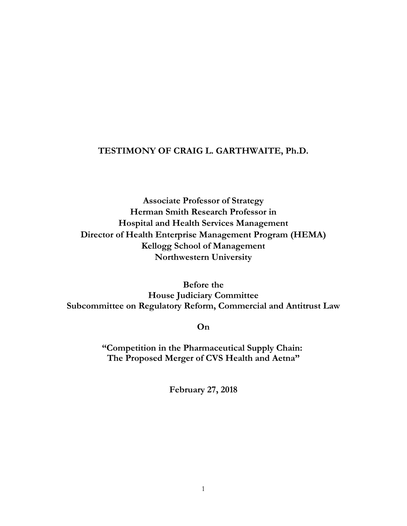# **TESTIMONY OF CRAIG L. GARTHWAITE, Ph.D.**

**Associate Professor of Strategy Herman Smith Research Professor in Hospital and Health Services Management Director of Health Enterprise Management Program (HEMA) Kellogg School of Management Northwestern University**

**Before the House Judiciary Committee Subcommittee on Regulatory Reform, Commercial and Antitrust Law**

**On**

**"Competition in the Pharmaceutical Supply Chain: The Proposed Merger of CVS Health and Aetna"**

**February 27, 2018**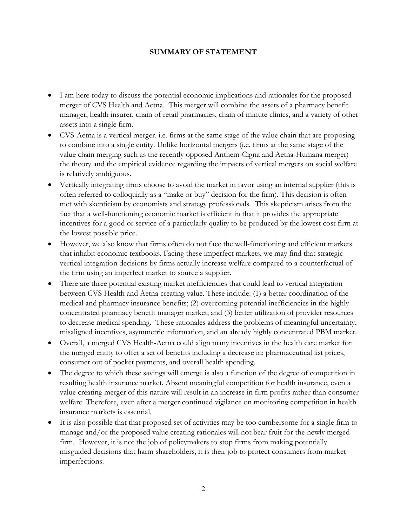## **SUMMARY OF STATEMENT**

- I am here today to discuss the potential economic implications and rationales for the proposed merger of CVS Health and Aetna. This merger will combine the assets of a pharmacy benefit manager, health insurer, chain of retail pharmacies, chain of minute clinics, and a variety of other assets into a single firm.
- CVS-Aetna is a vertical merger. i.e. firms at the same stage of the value chain that are proposing to combine into a single entity. Unlike horizontal mergers (i.e. firms at the same stage of the value chain merging such as the recently opposed Anthem-Cigna and Aetna-Humana merger) the theory and the empirical evidence regarding the impacts of vertical mergers on social welfare is relatively ambiguous.
- Vertically integrating firms choose to avoid the market in favor using an internal supplier (this is often referred to colloquially as a "make or buy" decision for the firm). This decision is often met with skepticism by economists and strategy professionals. This skepticism arises from the fact that a well-functioning economic market is efficient in that it provides the appropriate incentives for a good or service of a particularly quality to be produced by the lowest cost firm at the lowest possible price.
- However, we also know that firms often do not face the well-functioning and efficient markets that inhabit economic textbooks. Facing these imperfect markets, we may find that strategic vertical integration decisions by firms actually increase welfare compared to a counterfactual of the firm using an imperfect market to source a supplier.
- There are three potential existing market inefficiencies that could lead to vertical integration between CVS Health and Aetna creating value. These include: (1) a better coordination of the medical and pharmacy insurance benefits; (2) overcoming potential inefficiencies in the highly concentrated pharmacy benefit manager market; and (3) better utilization of provider resources to decrease medical spending. These rationales address the problems of meaningful uncertainty, misaligned incentives, asymmetric information, and an already highly concentrated PBM market.
- Overall, a merged CVS Health-Aetna could align many incentives in the health care market for the merged entity to offer a set of benefits including a decrease in: pharmaceutical list prices, consumer out of pocket payments, and overall health spending.
- The degree to which these savings will emerge is also a function of the degree of competition in resulting health insurance market. Absent meaningful competition for health insurance, even a value creating merger of this nature will result in an increase in firm profits rather than consumer welfare. Therefore, even after a merger continued vigilance on monitoring competition in health insurance markets is essential.
- It is also possible that that proposed set of activities may be too cumbersome for a single firm to manage and/or the proposed value creating rationales will not bear fruit for the newly merged firm. However, it is not the job of policymakers to stop firms from making potentially misguided decisions that harm shareholders, it is their job to protect consumers from market imperfections.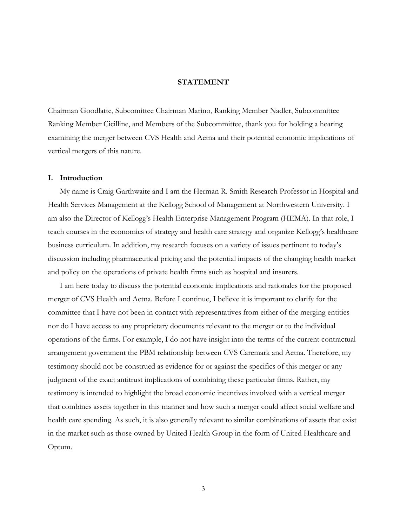### **STATEMENT**

Chairman Goodlatte, Subcomittee Chairman Marino, Ranking Member Nadler, Subcommittee Ranking Member Cicilline, and Members of the Subcommittee, thank you for holding a hearing examining the merger between CVS Health and Aetna and their potential economic implications of vertical mergers of this nature.

#### **I. Introduction**

My name is Craig Garthwaite and I am the Herman R. Smith Research Professor in Hospital and Health Services Management at the Kellogg School of Management at Northwestern University. I am also the Director of Kellogg's Health Enterprise Management Program (HEMA). In that role, I teach courses in the economics of strategy and health care strategy and organize Kellogg's healthcare business curriculum. In addition, my research focuses on a variety of issues pertinent to today's discussion including pharmaceutical pricing and the potential impacts of the changing health market and policy on the operations of private health firms such as hospital and insurers.

I am here today to discuss the potential economic implications and rationales for the proposed merger of CVS Health and Aetna. Before I continue, I believe it is important to clarify for the committee that I have not been in contact with representatives from either of the merging entities nor do I have access to any proprietary documents relevant to the merger or to the individual operations of the firms. For example, I do not have insight into the terms of the current contractual arrangement government the PBM relationship between CVS Caremark and Aetna. Therefore, my testimony should not be construed as evidence for or against the specifics of this merger or any judgment of the exact antitrust implications of combining these particular firms. Rather, my testimony is intended to highlight the broad economic incentives involved with a vertical merger that combines assets together in this manner and how such a merger could affect social welfare and health care spending. As such, it is also generally relevant to similar combinations of assets that exist in the market such as those owned by United Health Group in the form of United Healthcare and Optum.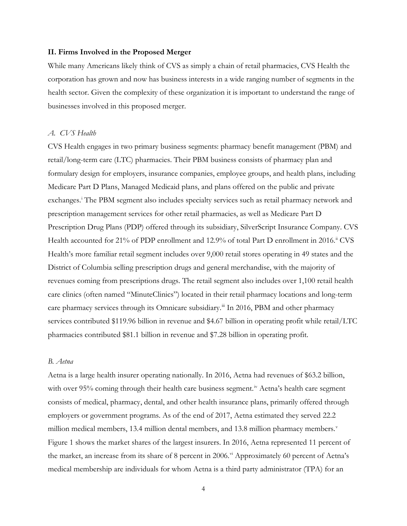#### **II. Firms Involved in the Proposed Merger**

While many Americans likely think of CVS as simply a chain of retail pharmacies, CVS Health the corporation has grown and now has business interests in a wide ranging number of segments in the health sector. Given the complexity of these organization it is important to understand the range of businesses involved in this proposed merger.

#### *A. CVS Health*

CVS Health engages in two primary business segments: pharmacy benefit management (PBM) and retail/long-term care (LTC) pharmacies. Their PBM business consists of pharmacy plan and formulary design for employers, insurance companies, employee groups, and health plans, including Medicare Part D Plans, Managed Medicaid plans, and plans offered on the public and private exchanges.<sup>[i](#page-26-0)</sup> The PBM segment also includes specialty services such as retail pharmacy network and prescription management services for other retail pharmacies, as well as Medicare Part D Prescription Drug Plans (PDP) offered through its subsidiary, SilverScript Insurance Company. CVS Health accounted for 21% of PDP enrollment and 12.9% of total Part D enrollment in 2016.<sup>[ii](#page-26-1)</sup> CVS Health's more familiar retail segment includes over 9,000 retail stores operating in 49 states and the District of Columbia selling prescription drugs and general merchandise, with the majority of revenues coming from prescriptions drugs. The retail segment also includes over 1,100 retail health care clinics (often named "MinuteClinics") located in their retail pharmacy locations and long-term care pharmacy services through its Omnicare subsidiary.<sup>[iii](#page-26-2)</sup> In 2016, PBM and other pharmacy services contributed \$119.96 billion in revenue and \$4.67 billion in operating profit while retail/LTC pharmacies contributed \$81.1 billion in revenue and \$7.28 billion in operating profit.

#### *B. Aetna*

Aetna is a large health insurer operating nationally. In 2016, Aetna had revenues of \$63.2 billion, with over 95% coming through their health care business segment.<sup>[iv](#page-26-3)</sup> Aetna's health care segment consists of medical, pharmacy, dental, and other health insurance plans, primarily offered through employers or government programs. As of the end of 2017, Aetna estimated they served 22.2 million medical members, 13.4 million dental members, and 13.8 million pharmacy members. $\mathrm{v}$  $\mathrm{v}$  $\mathrm{v}$ Figure 1 shows the market shares of the largest insurers. In 2016, Aetna represented 11 percent of the market, an increase from its share of 8 percent in 2006.<sup>[vi](#page-26-5)</sup> Approximately 60 percent of Aetna's medical membership are individuals for whom Aetna is a third party administrator (TPA) for an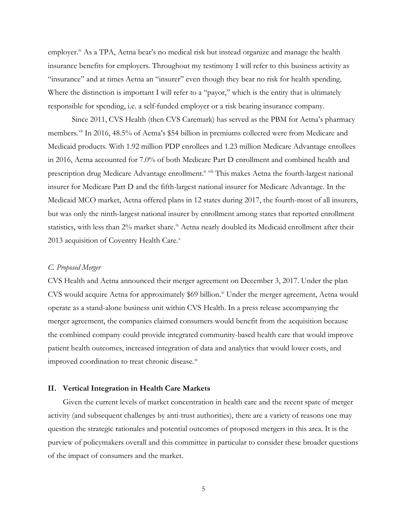employer.<sup>iv</sup> As a TPA, Aetna bear's no medical risk but instead organize and manage the health insurance benefits for employers. Throughout my testimony I will refer to this business activity as "insurance" and at times Aetna an "insurer" even though they bear no risk for health spending. Where the distinction is important I will refer to a "payor," which is the entity that is ultimately responsible for spending, i.e. a self-funded employer or a risk bearing insurance company.

Since 2011, CVS Health (then CVS Caremark) has served as the PBM for Aetna's pharmacy members.<sup>[vii](#page-26-6)</sup> In 2016, 48.5% of Aetna's \$54 billion in premiums collected were from Medicare and Medicaid products. With 1.92 million PDP enrollees and 1.23 million Medicare Advantage enrollees in 2016, Aetna accounted for 7.0% of both Medicare Part D enrollment and combined health and prescription drug Medicare Advantage enrollment.<sup>ii [viii](#page-26-7)</sup> This makes Aetna the fourth-largest national insurer for Medicare Part D and the fifth-largest national insurer for Medicare Advantage. In the Medicaid MCO market, Aetna offered plans in 12 states during 2017, the fourth-most of all insurers, but was only the ninth-largest national insurer by enrollment among states that reported enrollment statistics, with less than 2% market share.<sup>[ix](#page-26-8)</sup> Aetna nearly doubled its Medicaid enrollment after their 2013 acquisition of Coventry Health Care.<sup>[x](#page-26-9)</sup>

#### *C. Proposed Merger*

CVS Health and Aetna announced their merger agreement on December 3, 2017. Under the plan CVS would acquire Aetna for approximately \$69 billion.<sup>xi</sup> Under the merger agreement, Aetna would operate as a stand-alone business unit within CVS Health. In a press release accompanying the merger agreement, the companies claimed consumers would benefit from the acquisition because the combined company could provide integrated community-based health care that would improve patient health outcomes, increased integration of data and analytics that would lower costs, and improved coordination to treat chronic disease.<sup>[xi](#page-26-10)</sup>

#### **II. Vertical Integration in Health Care Markets**

Given the current levels of market concentration in health care and the recent spate of merger activity (and subsequent challenges by anti-trust authorities), there are a variety of reasons one may question the strategic rationales and potential outcomes of proposed mergers in this area. It is the purview of policymakers overall and this committee in particular to consider these broader questions of the impact of consumers and the market.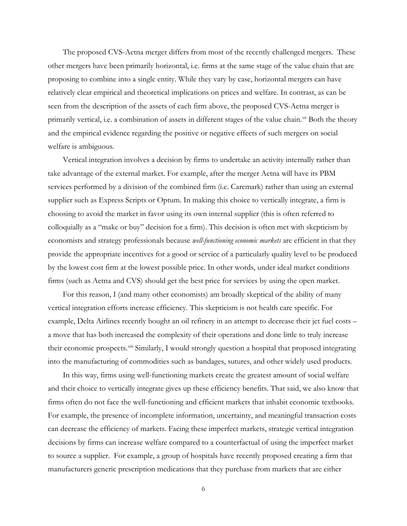The proposed CVS-Aetna merger differs from most of the recently challenged mergers. These other mergers have been primarily horizontal, i.e. firms at the same stage of the value chain that are proposing to combine into a single entity. While they vary by case, horizontal mergers can have relatively clear empirical and theoretical implications on prices and welfare. In contrast, as can be seen from the description of the assets of each firm above, the proposed CVS-Aetna merger is primarily vertical, i.e. a combination of assets in different stages of the value chain.<sup>[xii](#page-26-11)</sup> Both the theory and the empirical evidence regarding the positive or negative effects of such mergers on social welfare is ambiguous.

Vertical integration involves a decision by firms to undertake an activity internally rather than take advantage of the external market. For example, after the merger Aetna will have its PBM services performed by a division of the combined firm (i.e. Caremark) rather than using an external supplier such as Express Scripts or Optum. In making this choice to vertically integrate, a firm is choosing to avoid the market in favor using its own internal supplier (this is often referred to colloquially as a "make or buy" decision for a firm). This decision is often met with skepticism by economists and strategy professionals because *well-functioning economic markets* are efficient in that they provide the appropriate incentives for a good or service of a particularly quality level to be produced by the lowest cost firm at the lowest possible price. In other words, under ideal market conditions firms (such as Aetna and CVS) should get the best price for services by using the open market.

For this reason, I (and many other economists) am broadly skeptical of the ability of many vertical integration efforts increase efficiency. This skepticism is not health care specific. For example, Delta Airlines recently bought an oil refinery in an attempt to decrease their jet fuel costs – a move that has both increased the complexity of their operations and done little to truly increase their economic prospects.<sup>[xiii](#page-26-12)</sup> Similarly, I would strongly question a hospital that proposed integrating into the manufacturing of commodities such as bandages, sutures, and other widely used products.

In this way, firms using well-functioning markets create the greatest amount of social welfare and their choice to vertically integrate gives up these efficiency benefits. That said, we also know that firms often do not face the well-functioning and efficient markets that inhabit economic textbooks. For example, the presence of incomplete information, uncertainty, and meaningful transaction costs can decrease the efficiency of markets. Facing these imperfect markets, strategic vertical integration decisions by firms can increase welfare compared to a counterfactual of using the imperfect market to source a supplier. For example, a group of hospitals have recently proposed creating a firm that manufacturers generic prescription medications that they purchase from markets that are either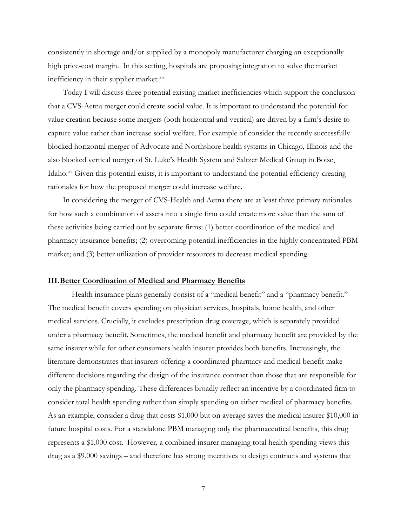consistently in shortage and/or supplied by a monopoly manufacturer charging an exceptionally high price-cost margin. In this setting, hospitals are proposing integration to solve the market inefficiency in their supplier market. $x$ iv

Today I will discuss three potential existing market inefficiencies which support the conclusion that a CVS-Aetna merger could create social value. It is important to understand the potential for value creation because some mergers (both horizontal and vertical) are driven by a firm's desire to capture value rather than increase social welfare. For example of consider the recently successfully blocked horizontal merger of Advocate and Northshore health systems in Chicago, Illinois and the also blocked vertical merger of St. Luke's Health System and Saltzer Medical Group in Boise, Idaho.<sup>[xv](#page-26-14)</sup> Given this potential exists, it is important to understand the potential efficiency-creating rationales for how the proposed merger could increase welfare.

In considering the merger of CVS-Health and Aetna there are at least three primary rationales for how such a combination of assets into a single firm could create more value than the sum of these activities being carried out by separate firms: (1) better coordination of the medical and pharmacy insurance benefits; (2) overcoming potential inefficiencies in the highly concentrated PBM market; and (3) better utilization of provider resources to decrease medical spending.

## **III.Better Coordination of Medical and Pharmacy Benefits**

Health insurance plans generally consist of a "medical benefit" and a "pharmacy benefit." The medical benefit covers spending on physician services, hospitals, home health, and other medical services. Crucially, it excludes prescription drug coverage, which is separately provided under a pharmacy benefit. Sometimes, the medical benefit and pharmacy benefit are provided by the same insurer while for other consumers health insurer provides both benefits. Increasingly, the literature demonstrates that insurers offering a coordinated pharmacy and medical benefit make different decisions regarding the design of the insurance contract than those that are responsible for only the pharmacy spending. These differences broadly reflect an incentive by a coordinated firm to consider total health spending rather than simply spending on either medical of pharmacy benefits. As an example, consider a drug that costs \$1,000 but on average saves the medical insurer \$10,000 in future hospital costs. For a standalone PBM managing only the pharmaceutical benefits, this drug represents a \$1,000 cost. However, a combined insurer managing total health spending views this drug as a \$9,000 savings – and therefore has strong incentives to design contracts and systems that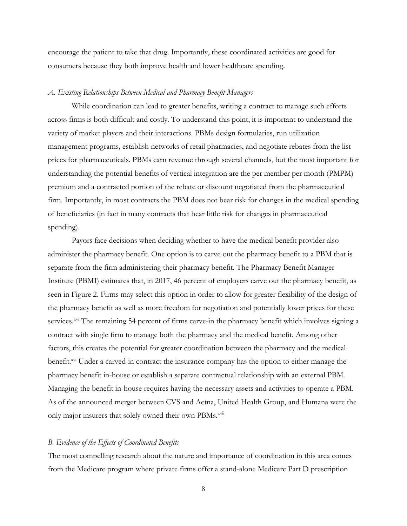encourage the patient to take that drug. Importantly, these coordinated activities are good for consumers because they both improve health and lower healthcare spending.

#### *A. Existing Relationships Between Medical and Pharmacy Benefit Managers*

While coordination can lead to greater benefits, writing a contract to manage such efforts across firms is both difficult and costly. To understand this point, it is important to understand the variety of market players and their interactions. PBMs design formularies, run utilization management programs, establish networks of retail pharmacies, and negotiate rebates from the list prices for pharmaceuticals. PBMs earn revenue through several channels, but the most important for understanding the potential benefits of vertical integration are the per member per month (PMPM) premium and a contracted portion of the rebate or discount negotiated from the pharmaceutical firm. Importantly, in most contracts the PBM does not bear risk for changes in the medical spending of beneficiaries (in fact in many contracts that bear little risk for changes in pharmaceutical spending).

Payors face decisions when deciding whether to have the medical benefit provider also administer the pharmacy benefit. One option is to carve out the pharmacy benefit to a PBM that is separate from the firm administering their pharmacy benefit. The Pharmacy Benefit Manager Institute (PBMI) estimates that, in 2017, 46 percent of employers carve out the pharmacy benefit, as seen in Figure 2. Firms may select this option in order to allow for greater flexibility of the design of the pharmacy benefit as well as more freedom for negotiation and potentially lower prices for these services.<sup>[xvi](#page-26-15)</sup> The remaining 54 percent of firms carve-in the pharmacy benefit which involves signing a contract with single firm to manage both the pharmacy and the medical benefit. Among other factors, this creates the potential for greater coordination between the pharmacy and the medical benefit.<sup>xvi</sup> Under a carved-in contract the insurance company has the option to either manage the pharmacy benefit in-house or establish a separate contractual relationship with an external PBM. Managing the benefit in-house requires having the necessary assets and activities to operate a PBM. As of the announced merger between CVS and Aetna, United Health Group, and Humana were the only major insurers that solely owned their own PBMs.<sup>[xvii](#page-26-16)</sup>

### *B. Evidence of the Effects of Coordinated Benefits*

The most compelling research about the nature and importance of coordination in this area comes from the Medicare program where private firms offer a stand-alone Medicare Part D prescription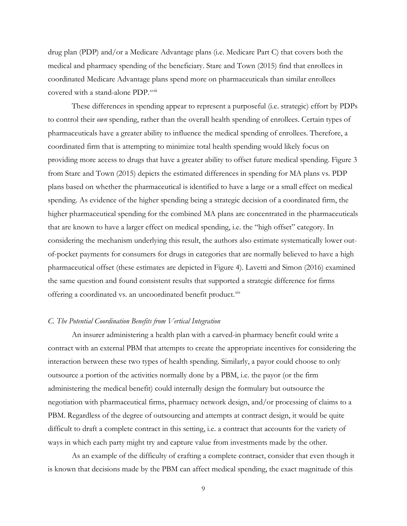drug plan (PDP) and/or a Medicare Advantage plans (i.e. Medicare Part C) that covers both the medical and pharmacy spending of the beneficiary. Starc and Town (2015) find that enrollees in coordinated Medicare Advantage plans spend more on pharmaceuticals than similar enrollees covered with a stand-alone PDP.<sup>xviii</sup>

These differences in spending appear to represent a purposeful (i.e. strategic) effort by PDPs to control their *own* spending, rather than the overall health spending of enrollees. Certain types of pharmaceuticals have a greater ability to influence the medical spending of enrollees. Therefore, a coordinated firm that is attempting to minimize total health spending would likely focus on providing more access to drugs that have a greater ability to offset future medical spending. Figure 3 from Starc and Town (2015) depicts the estimated differences in spending for MA plans vs. PDP plans based on whether the pharmaceutical is identified to have a large or a small effect on medical spending. As evidence of the higher spending being a strategic decision of a coordinated firm, the higher pharmaceutical spending for the combined MA plans are concentrated in the pharmaceuticals that are known to have a larger effect on medical spending, i.e. the "high offset" category. In considering the mechanism underlying this result, the authors also estimate systematically lower outof-pocket payments for consumers for drugs in categories that are normally believed to have a high pharmaceutical offset (these estimates are depicted in Figure 4). Lavetti and Simon (2016) examined the same question and found consistent results that supported a strategic difference for firms offering a coordinated vs. an uncoordinated benefit product.[xix](#page-26-17)

### *C. The Potential Coordination Benefits from Vertical Integration*

An insurer administering a health plan with a carved-in pharmacy benefit could write a contract with an external PBM that attempts to create the appropriate incentives for considering the interaction between these two types of health spending. Similarly, a payor could choose to only outsource a portion of the activities normally done by a PBM, i.e. the payor (or the firm administering the medical benefit) could internally design the formulary but outsource the negotiation with pharmaceutical firms, pharmacy network design, and/or processing of claims to a PBM. Regardless of the degree of outsourcing and attempts at contract design, it would be quite difficult to draft a complete contract in this setting, i.e. a contract that accounts for the variety of ways in which each party might try and capture value from investments made by the other.

As an example of the difficulty of crafting a complete contract, consider that even though it is known that decisions made by the PBM can affect medical spending, the exact magnitude of this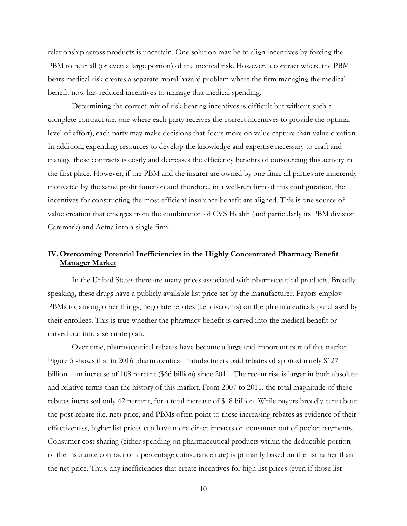relationship across products is uncertain. One solution may be to align incentives by forcing the PBM to bear all (or even a large portion) of the medical risk. However, a contract where the PBM bears medical risk creates a separate moral hazard problem where the firm managing the medical benefit now has reduced incentives to manage that medical spending.

Determining the correct mix of risk bearing incentives is difficult but without such a complete contract (i.e. one where each party receives the correct incentives to provide the optimal level of effort), each party may make decisions that focus more on value capture than value creation. In addition, expending resources to develop the knowledge and expertise necessary to craft and manage these contracts is costly and decreases the efficiency benefits of outsourcing this activity in the first place. However, if the PBM and the insurer are owned by one firm, all parties are inherently motivated by the same profit function and therefore, in a well-run firm of this configuration, the incentives for constructing the most efficient insurance benefit are aligned. This is one source of value creation that emerges from the combination of CVS Health (and particularly its PBM division Caremark) and Aetna into a single firm.

## **IV. Overcoming Potential Inefficiencies in the Highly Concentrated Pharmacy Benefit Manager Market**

In the United States there are many prices associated with pharmaceutical products. Broadly speaking, these drugs have a publicly available list price set by the manufacturer. Payors employ PBMs to, among other things, negotiate rebates (i.e. discounts) on the pharmaceuticals purchased by their enrollees. This is true whether the pharmacy benefit is carved into the medical benefit or carved out into a separate plan.

Over time, pharmaceutical rebates have become a large and important part of this market. Figure 5 shows that in 2016 pharmaceutical manufacturers paid rebates of approximately \$127 billion – an increase of 108 percent (\$66 billion) since 2011. The recent rise is larger in both absolute and relative terms than the history of this market. From 2007 to 2011, the total magnitude of these rebates increased only 42 percent, for a total increase of \$18 billion. While payors broadly care about the post-rebate (i.e. net) price, and PBMs often point to these increasing rebates as evidence of their effectiveness, higher list prices can have more direct impacts on consumer out of pocket payments. Consumer cost sharing (either spending on pharmaceutical products within the deductible portion of the insurance contract or a percentage coinsurance rate) is primarily based on the list rather than the net price. Thus, any inefficiencies that create incentives for high list prices (even if those list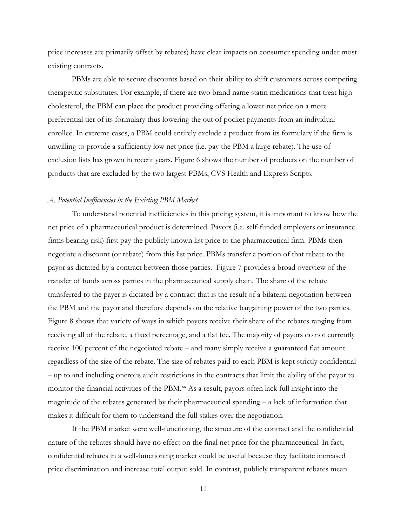price increases are primarily offset by rebates) have clear impacts on consumer spending under most existing contracts.

PBMs are able to secure discounts based on their ability to shift customers across competing therapeutic substitutes. For example, if there are two brand name statin medications that treat high cholesterol, the PBM can place the product providing offering a lower net price on a more preferential tier of its formulary thus lowering the out of pocket payments from an individual enrollee. In extreme cases, a PBM could entirely exclude a product from its formulary if the firm is unwilling to provide a sufficiently low net price (i.e. pay the PBM a large rebate). The use of exclusion lists has grown in recent years. Figure 6 shows the number of products on the number of products that are excluded by the two largest PBMs, CVS Health and Express Scripts.

#### *A. Potential Inefficiencies in the Existing PBM Market*

To understand potential inefficiencies in this pricing system, it is important to know how the net price of a pharmaceutical product is determined. Payors (i.e. self-funded employers or insurance firms bearing risk) first pay the publicly known list price to the pharmaceutical firm. PBMs then negotiate a discount (or rebate) from this list price. PBMs transfer a portion of that rebate to the payor as dictated by a contract between those parties. Figure 7 provides a broad overview of the transfer of funds across parties in the pharmaceutical supply chain. The share of the rebate transferred to the payer is dictated by a contract that is the result of a bilateral negotiation between the PBM and the payor and therefore depends on the relative bargaining power of the two parties. Figure 8 shows that variety of ways in which payors receive their share of the rebates ranging from receiving all of the rebate, a fixed percentage, and a flat fee. The majority of payors do not currently receive 100 percent of the negotiated rebate – and many simply receive a guaranteed flat amount regardless of the size of the rebate. The size of rebates paid to each PBM is kept strictly confidential – up to and including onerous audit restrictions in the contracts that limit the ability of the payor to monitor the financial activities of the PBM.<sup>[xx](#page-27-0)</sup> As a result, payors often lack full insight into the magnitude of the rebates generated by their pharmaceutical spending – a lack of information that makes it difficult for them to understand the full stakes over the negotiation.

If the PBM market were well-functioning, the structure of the contract and the confidential nature of the rebates should have no effect on the final net price for the pharmaceutical. In fact, confidential rebates in a well-functioning market could be useful because they facilitate increased price discrimination and increase total output sold. In contrast, publicly transparent rebates mean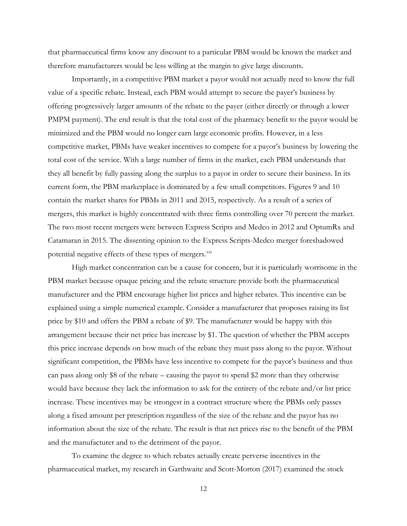that pharmaceutical firms know any discount to a particular PBM would be known the market and therefore manufacturers would be less willing at the margin to give large discounts.

Importantly, in a competitive PBM market a payor would not actually need to know the full value of a specific rebate. Instead, each PBM would attempt to secure the payer's business by offering progressively larger amounts of the rebate to the payer (either directly or through a lower PMPM payment). The end result is that the total cost of the pharmacy benefit to the payor would be minimized and the PBM would no longer earn large economic profits. However, in a less competitive market, PBMs have weaker incentives to compete for a payor's business by lowering the total cost of the service. With a large number of firms in the market, each PBM understands that they all benefit by fully passing along the surplus to a payor in order to secure their business. In its current form, the PBM marketplace is dominated by a few small competitors. Figures 9 and 10 contain the market shares for PBMs in 2011 and 2015, respectively. As a result of a series of mergers, this market is highly concentrated with three firms controlling over 70 percent the market. The two most recent mergers were between Express Scripts and Medco in 2012 and OptumRx and Catamaran in 2015. The dissenting opinion to the Express Scripts-Medco merger foreshadowed potential negative effects of these types of mergers.<sup>[xxi](#page-27-1)</sup>

High market concentration can be a cause for concern, but it is particularly worrisome in the PBM market because opaque pricing and the rebate structure provide both the pharmaceutical manufacturer and the PBM encourage higher list prices and higher rebates. This incentive can be explained using a simple numerical example. Consider a manufacturer that proposes raising its list price by \$10 and offers the PBM a rebate of \$9. The manufacturer would be happy with this arrangement because their net price has increase by \$1. The question of whether the PBM accepts this price increase depends on how much of the rebate they must pass along to the payor. Without significant competition, the PBMs have less incentive to compete for the payor's business and thus can pass along only \$8 of the rebate – causing the payor to spend \$2 more than they otherwise would have because they lack the information to ask for the entirety of the rebate and/or list price increase. These incentives may be strongest in a contract structure where the PBMs only passes along a fixed amount per prescription regardless of the size of the rebate and the payor has no information about the size of the rebate. The result is that net prices rise to the benefit of the PBM and the manufacturer and to the detriment of the payor.

To examine the degree to which rebates actually create perverse incentives in the pharmaceutical market, my research in Garthwaite and Scott-Morton (2017) examined the stock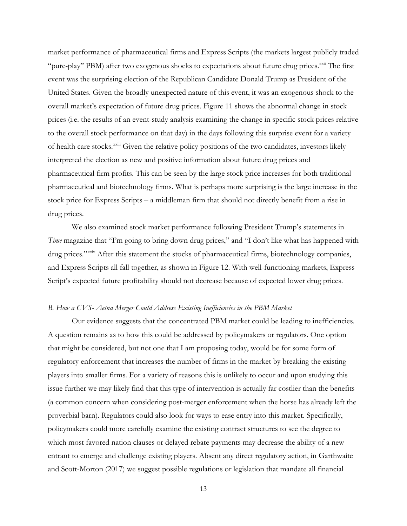market performance of pharmaceutical firms and Express Scripts (the markets largest publicly traded "pure-play" PBM) after two exogenous shocks to expectations about future drug prices.<sup>[xxii](#page-27-2)</sup> The first of health care stocks. XXIII [G](#page-27-3)iven the relative policy positions of the two candidates, investors likely event was the surprising election of the Republican Candidate Donald Trump as President of the United States. Given the broadly unexpected nature of this event, it was an exogenous shock to the overall market's expectation of future drug prices. Figure 11 shows the abnormal change in stock prices (i.e. the results of an event-study analysis examining the change in specific stock prices relative to the overall stock performance on that day) in the days following this surprise event for a variety interpreted the election as new and positive information about future drug prices and pharmaceutical firm profits. This can be seen by the large stock price increases for both traditional pharmaceutical and biotechnology firms. What is perhaps more surprising is the large increase in the stock price for Express Scripts – a middleman firm that should not directly benefit from a rise in drug prices.

We also examined stock market performance following President Trump's statements in *Time* magazine that "I'm going to bring down drug prices," and "I don't like what has happened with drug prices."<sup>[xxiv](#page-27-4)</sup> After this statement the stocks of pharmaceutical firms, biotechnology companies, and Express Scripts all fall together, as shown in Figure 12. With well-functioning markets, Express Script's expected future profitability should not decrease because of expected lower drug prices.

#### *B. How a CVS- Aetna Merger Could Address Existing Inefficiencies in the PBM Market*

Our evidence suggests that the concentrated PBM market could be leading to inefficiencies. A question remains as to how this could be addressed by policymakers or regulators. One option that might be considered, but not one that I am proposing today, would be for some form of regulatory enforcement that increases the number of firms in the market by breaking the existing players into smaller firms. For a variety of reasons this is unlikely to occur and upon studying this issue further we may likely find that this type of intervention is actually far costlier than the benefits (a common concern when considering post-merger enforcement when the horse has already left the proverbial barn). Regulators could also look for ways to ease entry into this market. Specifically, policymakers could more carefully examine the existing contract structures to see the degree to which most favored nation clauses or delayed rebate payments may decrease the ability of a new entrant to emerge and challenge existing players. Absent any direct regulatory action, in Garthwaite and Scott-Morton (2017) we suggest possible regulations or legislation that mandate all financial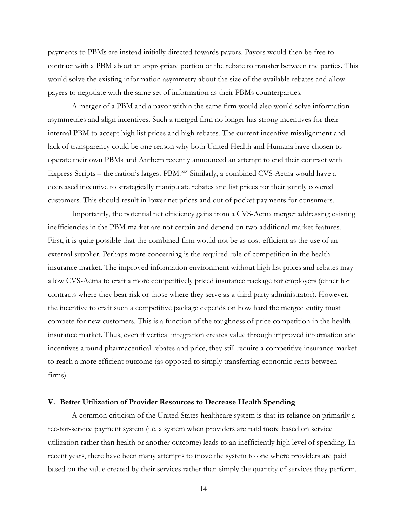payments to PBMs are instead initially directed towards payors. Payors would then be free to contract with a PBM about an appropriate portion of the rebate to transfer between the parties. This would solve the existing information asymmetry about the size of the available rebates and allow payers to negotiate with the same set of information as their PBMs counterparties.

A merger of a PBM and a payor within the same firm would also would solve information asymmetries and align incentives. Such a merged firm no longer has strong incentives for their internal PBM to accept high list prices and high rebates. The current incentive misalignment and lack of transparency could be one reason why both United Health and Humana have chosen to operate their own PBMs and Anthem recently announced an attempt to end their contract with Express Scripts – the nation's largest PBM.<sup>[xxv](#page-27-5)</sup> Similarly, a combined CVS-Aetna would have a decreased incentive to strategically manipulate rebates and list prices for their jointly covered customers. This should result in lower net prices and out of pocket payments for consumers.

Importantly, the potential net efficiency gains from a CVS-Aetna merger addressing existing inefficiencies in the PBM market are not certain and depend on two additional market features. First, it is quite possible that the combined firm would not be as cost-efficient as the use of an external supplier. Perhaps more concerning is the required role of competition in the health insurance market. The improved information environment without high list prices and rebates may allow CVS-Aetna to craft a more competitively priced insurance package for employers (either for contracts where they bear risk or those where they serve as a third party administrator). However, the incentive to craft such a competitive package depends on how hard the merged entity must compete for new customers. This is a function of the toughness of price competition in the health insurance market. Thus, even if vertical integration creates value through improved information and incentives around pharmaceutical rebates and price, they still require a competitive insurance market to reach a more efficient outcome (as opposed to simply transferring economic rents between firms).

## **V. Better Utilization of Provider Resources to Decrease Health Spending**

A common criticism of the United States healthcare system is that its reliance on primarily a fee-for-service payment system (i.e. a system when providers are paid more based on service utilization rather than health or another outcome) leads to an inefficiently high level of spending. In recent years, there have been many attempts to move the system to one where providers are paid based on the value created by their services rather than simply the quantity of services they perform.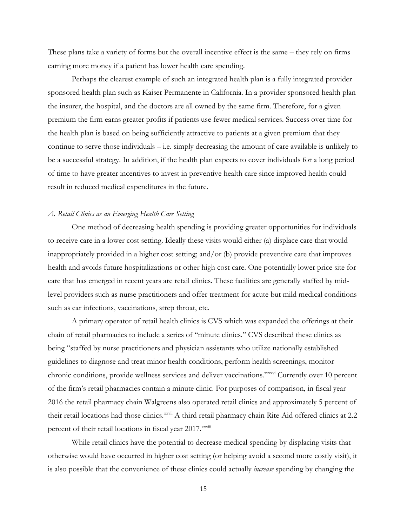These plans take a variety of forms but the overall incentive effect is the same – they rely on firms earning more money if a patient has lower health care spending.

Perhaps the clearest example of such an integrated health plan is a fully integrated provider sponsored health plan such as Kaiser Permanente in California. In a provider sponsored health plan the insurer, the hospital, and the doctors are all owned by the same firm. Therefore, for a given premium the firm earns greater profits if patients use fewer medical services. Success over time for the health plan is based on being sufficiently attractive to patients at a given premium that they continue to serve those individuals – i.e. simply decreasing the amount of care available is unlikely to be a successful strategy. In addition, if the health plan expects to cover individuals for a long period of time to have greater incentives to invest in preventive health care since improved health could result in reduced medical expenditures in the future.

#### *A. Retail Clinics as an Emerging Health Care Setting*

One method of decreasing health spending is providing greater opportunities for individuals to receive care in a lower cost setting. Ideally these visits would either (a) displace care that would inappropriately provided in a higher cost setting; and/or (b) provide preventive care that improves health and avoids future hospitalizations or other high cost care. One potentially lower price site for care that has emerged in recent years are retail clinics. These facilities are generally staffed by midlevel providers such as nurse practitioners and offer treatment for acute but mild medical conditions such as ear infections, vaccinations, strep throat, etc.

A primary operator of retail health clinics is CVS which was expanded the offerings at their chain of retail pharmacies to include a series of "minute clinics." CVS described these clinics as being "staffed by nurse practitioners and physician assistants who utilize nationally established guidelines to diagnose and treat minor health conditions, perform health screenings, monitor chronic conditions, provide wellness services and deliver vaccinations." XXXVi Currently over 10 percent their retail locations had those clinics. XXVii [A](#page-27-7) third retail pharmacy chain Rite-Aid offered clinics at 2.2 percent of the[i](#page-27-8)r retail locations in fiscal year 2017. XXViii of the firm's retail pharmacies contain a minute clinic. For purposes of comparison, in fiscal year 2016 the retail pharmacy chain Walgreens also operated retail clinics and approximately 5 percent of

While retail clinics have the potential to decrease medical spending by displacing visits that otherwise would have occurred in higher cost setting (or helping avoid a second more costly visit), it is also possible that the convenience of these clinics could actually *increase* spending by changing the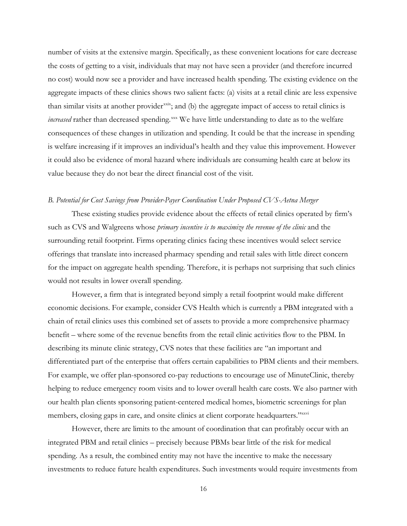number of visits at the extensive margin. Specifically, as these convenient locations for care decrease the costs of getting to a visit, individuals that may not have seen a provider (and therefore incurred no cost) would now see a provider and have increased health spending. The existing evidence on the aggregate impacts of these clinics shows two salient facts: (a) visits at a retail clinic are less expensive than similar visits at another provider<sup>[xxix](#page-27-9)</sup>; and (b) the aggregate impact of access to retail clinics is *increased* rather than decreased spending.<sup>[xxx](#page-27-10)</sup> We have little understanding to date as to the welfare consequences of these changes in utilization and spending. It could be that the increase in spending is welfare increasing if it improves an individual's health and they value this improvement. However it could also be evidence of moral hazard where individuals are consuming health care at below its value because they do not bear the direct financial cost of the visit.

#### *B. Potential for Cost Savings from Provider-Payer Coordination Under Proposed CVS-Aetna Merger*

These existing studies provide evidence about the effects of retail clinics operated by firm's such as CVS and Walgreens whose *primary incentive is to maximize the revenue of the clinic* and the surrounding retail footprint. Firms operating clinics facing these incentives would select service offerings that translate into increased pharmacy spending and retail sales with little direct concern for the impact on aggregate health spending. Therefore, it is perhaps not surprising that such clinics would not results in lower overall spending.

However, a firm that is integrated beyond simply a retail footprint would make different economic decisions. For example, consider CVS Health which is currently a PBM integrated with a chain of retail clinics uses this combined set of assets to provide a more comprehensive pharmacy benefit – where some of the revenue benefits from the retail clinic activities flow to the PBM. In describing its minute clinic strategy, CVS notes that these facilities are "an important and differentiated part of the enterprise that offers certain capabilities to PBM clients and their members. For example, we offer plan-sponsored co-pay reductions to encourage use of MinuteClinic, thereby helping to reduce emergency room visits and to lower overall health care costs. We also partner with our health plan clients sponsoring patient-centered medical homes, biometric screenings for plan members, closing gaps in care, and onsite clinics at client corporate headquarters."xxvi

However, there are limits to the amount of coordination that can profitably occur with an integrated PBM and retail clinics – precisely because PBMs bear little of the risk for medical spending. As a result, the combined entity may not have the incentive to make the necessary investments to reduce future health expenditures. Such investments would require investments from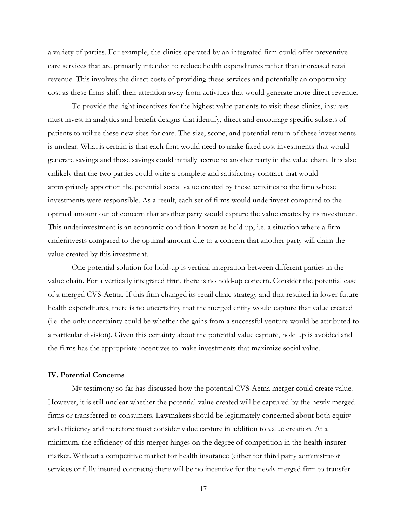a variety of parties. For example, the clinics operated by an integrated firm could offer preventive care services that are primarily intended to reduce health expenditures rather than increased retail revenue. This involves the direct costs of providing these services and potentially an opportunity cost as these firms shift their attention away from activities that would generate more direct revenue.

To provide the right incentives for the highest value patients to visit these clinics, insurers must invest in analytics and benefit designs that identify, direct and encourage specific subsets of patients to utilize these new sites for care. The size, scope, and potential return of these investments is unclear. What is certain is that each firm would need to make fixed cost investments that would generate savings and those savings could initially accrue to another party in the value chain. It is also unlikely that the two parties could write a complete and satisfactory contract that would appropriately apportion the potential social value created by these activities to the firm whose investments were responsible. As a result, each set of firms would underinvest compared to the optimal amount out of concern that another party would capture the value creates by its investment. This underinvestment is an economic condition known as hold-up, i.e. a situation where a firm underinvests compared to the optimal amount due to a concern that another party will claim the value created by this investment.

One potential solution for hold-up is vertical integration between different parties in the value chain. For a vertically integrated firm, there is no hold-up concern. Consider the potential case of a merged CVS-Aetna. If this firm changed its retail clinic strategy and that resulted in lower future health expenditures, there is no uncertainty that the merged entity would capture that value created (i.e. the only uncertainty could be whether the gains from a successful venture would be attributed to a particular division). Given this certainty about the potential value capture, hold up is avoided and the firms has the appropriate incentives to make investments that maximize social value.

#### **IV. Potential Concerns**

My testimony so far has discussed how the potential CVS-Aetna merger could create value. However, it is still unclear whether the potential value created will be captured by the newly merged firms or transferred to consumers. Lawmakers should be legitimately concerned about both equity and efficiency and therefore must consider value capture in addition to value creation. At a minimum, the efficiency of this merger hinges on the degree of competition in the health insurer market. Without a competitive market for health insurance (either for third party administrator services or fully insured contracts) there will be no incentive for the newly merged firm to transfer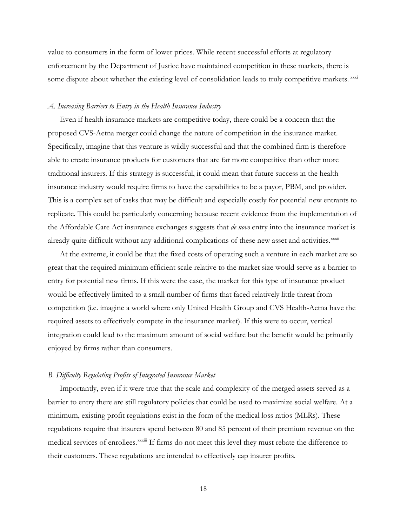value to consumers in the form of lower prices. While recent successful efforts at regulatory enforcement by the Department of Justice have maintained competition in these markets, there is some dispute about whether the existing level of consolidation leads to truly competitive markets.  $\frac{x}{x}$ 

#### *A. Increasing Barriers to Entry in the Health Insurance Industry*

Even if health insurance markets are competitive today, there could be a concern that the proposed CVS-Aetna merger could change the nature of competition in the insurance market. Specifically, imagine that this venture is wildly successful and that the combined firm is therefore able to create insurance products for customers that are far more competitive than other more traditional insurers. If this strategy is successful, it could mean that future success in the health insurance industry would require firms to have the capabilities to be a payor, PBM, and provider. This is a complex set of tasks that may be difficult and especially costly for potential new entrants to replicate. This could be particularly concerning because recent evidence from the implementation of the Affordable Care Act insurance exchanges suggests that *de novo* entry into the insurance market is already qu[i](#page-27-12)te difficult without any additional complications of these new asset and activities. XXXII

At the extreme, it could be that the fixed costs of operating such a venture in each market are so great that the required minimum efficient scale relative to the market size would serve as a barrier to entry for potential new firms. If this were the case, the market for this type of insurance product would be effectively limited to a small number of firms that faced relatively little threat from competition (i.e. imagine a world where only United Health Group and CVS Health-Aetna have the required assets to effectively compete in the insurance market). If this were to occur, vertical integration could lead to the maximum amount of social welfare but the benefit would be primarily enjoyed by firms rather than consumers.

#### *B. Difficulty Regulating Profits of Integrated Insurance Market*

Importantly, even if it were true that the scale and complexity of the merged assets served as a barrier to entry there are still regulatory policies that could be used to maximize social welfare. At a minimum, existing profit regulations exist in the form of the medical loss ratios (MLRs). These regulations require that insurers spend between 80 and 85 percent of their premium revenue on the med[i](#page-27-13)cal services of enrollees.<sup>xxxiii</sup> If firms do not meet this level they must rebate the difference to their customers. These regulations are intended to effectively cap insurer profits.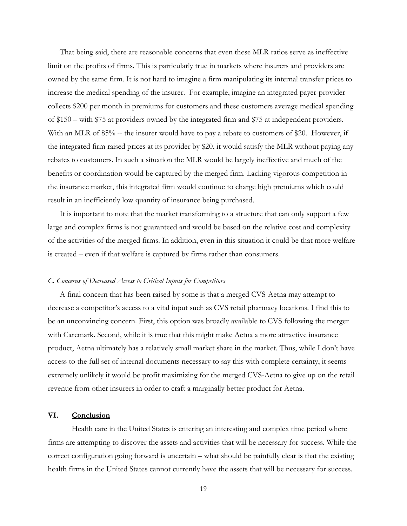That being said, there are reasonable concerns that even these MLR ratios serve as ineffective limit on the profits of firms. This is particularly true in markets where insurers and providers are owned by the same firm. It is not hard to imagine a firm manipulating its internal transfer prices to increase the medical spending of the insurer. For example, imagine an integrated payer-provider collects \$200 per month in premiums for customers and these customers average medical spending of \$150 – with \$75 at providers owned by the integrated firm and \$75 at independent providers. With an MLR of 85% -- the insurer would have to pay a rebate to customers of \$20. However, if the integrated firm raised prices at its provider by \$20, it would satisfy the MLR without paying any rebates to customers. In such a situation the MLR would be largely ineffective and much of the benefits or coordination would be captured by the merged firm. Lacking vigorous competition in the insurance market, this integrated firm would continue to charge high premiums which could result in an inefficiently low quantity of insurance being purchased.

It is important to note that the market transforming to a structure that can only support a few large and complex firms is not guaranteed and would be based on the relative cost and complexity of the activities of the merged firms. In addition, even in this situation it could be that more welfare is created – even if that welfare is captured by firms rather than consumers.

#### *C. Concerns of Decreased Access to Critical Inputs for Competitors*

A final concern that has been raised by some is that a merged CVS-Aetna may attempt to decrease a competitor's access to a vital input such as CVS retail pharmacy locations. I find this to be an unconvincing concern. First, this option was broadly available to CVS following the merger with Caremark. Second, while it is true that this might make Aetna a more attractive insurance product, Aetna ultimately has a relatively small market share in the market. Thus, while I don't have access to the full set of internal documents necessary to say this with complete certainty, it seems extremely unlikely it would be profit maximizing for the merged CVS-Aetna to give up on the retail revenue from other insurers in order to craft a marginally better product for Aetna.

#### **VI. Conclusion**

Health care in the United States is entering an interesting and complex time period where firms are attempting to discover the assets and activities that will be necessary for success. While the correct configuration going forward is uncertain – what should be painfully clear is that the existing health firms in the United States cannot currently have the assets that will be necessary for success.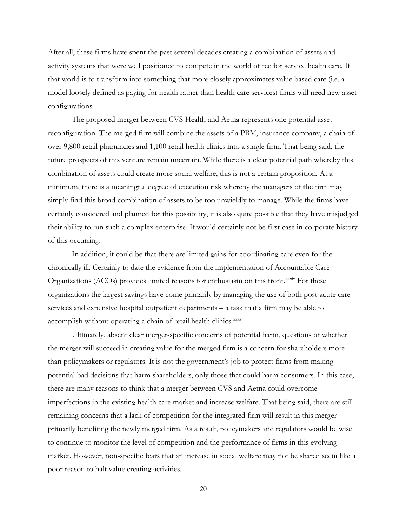After all, these firms have spent the past several decades creating a combination of assets and activity systems that were well positioned to compete in the world of fee for service health care. If that world is to transform into something that more closely approximates value based care (i.e. a model loosely defined as paying for health rather than health care services) firms will need new asset configurations.

The proposed merger between CVS Health and Aetna represents one potential asset reconfiguration. The merged firm will combine the assets of a PBM, insurance company, a chain of over 9,800 retail pharmacies and 1,100 retail health clinics into a single firm. That being said, the future prospects of this venture remain uncertain. While there is a clear potential path whereby this combination of assets could create more social welfare, this is not a certain proposition. At a minimum, there is a meaningful degree of execution risk whereby the managers of the firm may simply find this broad combination of assets to be too unwieldly to manage. While the firms have certainly considered and planned for this possibility, it is also quite possible that they have misjudged their ability to run such a complex enterprise. It would certainly not be first case in corporate history of this occurring.

In addition, it could be that there are limited gains for coordinating care even for the chronically ill. Certainly to date the evidence from the implementation of Accountable Care Organizations (ACOs) pro[v](#page-27-14)ides limited reasons for enthusiasm on this front.<sup>xxxiv</sup> For these organizations the largest savings have come primarily by managing the use of both post-acute care services and expensive hospital outpatient departments – a task that a firm may be able to accomplish without operating a chain of retail health clinics.<sup>[xxxv](#page-27-15)</sup>

Ultimately, absent clear merger-specific concerns of potential harm, questions of whether the merger will succeed in creating value for the merged firm is a concern for shareholders more than policymakers or regulators. It is not the government's job to protect firms from making potential bad decisions that harm shareholders, only those that could harm consumers. In this case, there are many reasons to think that a merger between CVS and Aetna could overcome imperfections in the existing health care market and increase welfare. That being said, there are still remaining concerns that a lack of competition for the integrated firm will result in this merger primarily benefiting the newly merged firm. As a result, policymakers and regulators would be wise to continue to monitor the level of competition and the performance of firms in this evolving market. However, non-specific fears that an increase in social welfare may not be shared seem like a poor reason to halt value creating activities.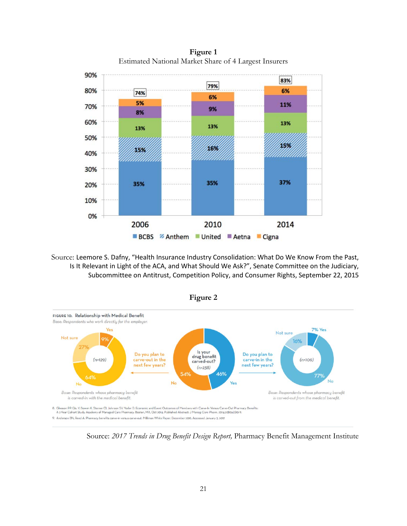90% 83% 79% 80% 6% 74% 6% 5% 11% 70% 9% 8% 60% 13% 13% 13% 50% IS. 16% 159 40% 30% 37% 35% 35% 20% 10% 0% 2006 2010 2014 BCBS % Anthem United Aetna Cigna

**Figure 1** Estimated National Market Share of 4 Largest Insurers

Source: Leemore S. Dafny, "Health Insurance Industry Consolidation: What Do We Know From the Past, Is It Relevant in Light of the ACA, and What Should We Ask?", Senate Committee on the Judiciary, Subcommittee on Antitrust, Competition Policy, and Consumer Rights, September 22, 2015





Source: *2017 Trends in Drug Benefit Design Report,* Pharmacy Benefit Management Institute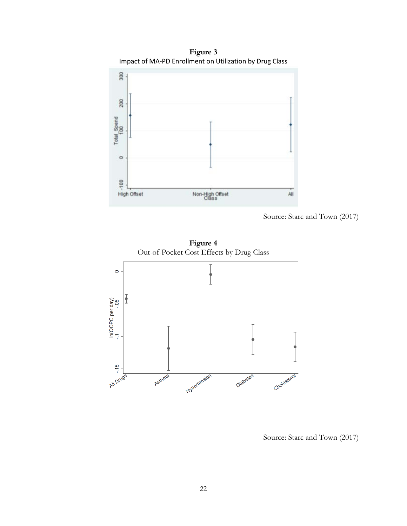

**Figure 3** Impact of MA-PD Enrollment on Utilization by Drug Class

Source: Starc and Town (2017)

**Figure 4** Out-of-Pocket Cost Effects by Drug Class



Source: Starc and Town (2017)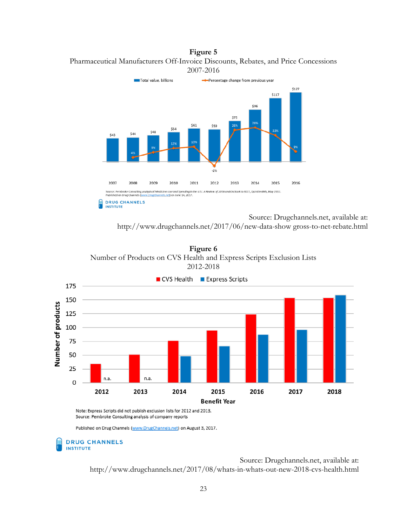**Figure 5** Pharmaceutical Manufacturers Off-Invoice Discounts, Rebates, and Price Concessions 2007-2016



Source: Drugchannels.net, available at: http://www.drugchannels.net/2017/06/new-data-show gross-to-net-rebate.html

**Figure 6** Number of Products on CVS Health and Express Scripts Exclusion Lists 2012-2018



Note: Express Scripts did not publish exclusion lists for 2012 and 2013. Source: Pembroke Consulting analysis of company reports

Published on Drug Channels (www.DrugChannels.net) on August 3, 2017.

#### **DRUG CHANNELS INSTITUTE**

Source: Drugchannels.net, available at: http://www.drugchannels.net/2017/08/whats-in-whats-out-new-2018-cvs-health.html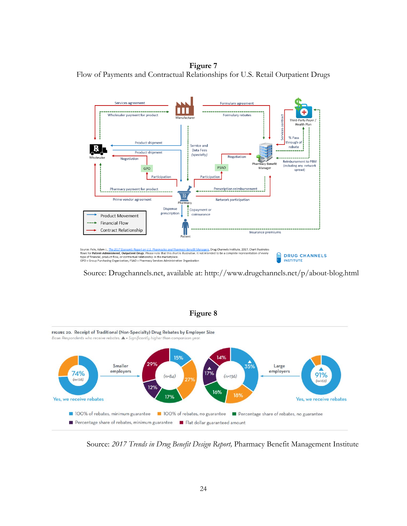**Figure 7** Flow of Payments and Contractual Relationships for U.S. Retail Outpatient Drugs



Source: Drugchannels.net, available at: http://www.drugchannels.net/p/about-blog.html



Source: *2017 Trends in Drug Benefit Design Report,* Pharmacy Benefit Management Institute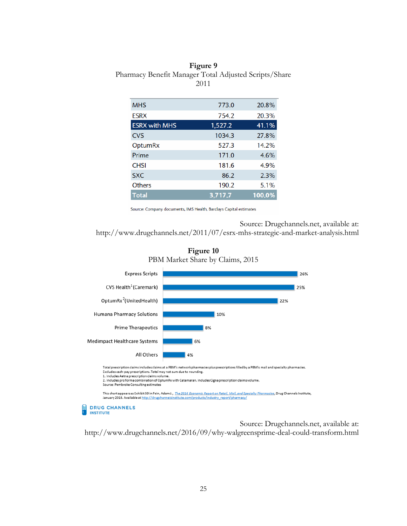### **Figure 9** Pharmacy Benefit Manager Total Adjusted Scripts/Share 2011

| <b>MHS</b>           | 773.0   | 20.8%  |
|----------------------|---------|--------|
| <b>ESRX</b>          | 754.2   | 20.3%  |
| <b>ESRX with MHS</b> | 1,527.2 | 41.1%  |
| <b>CVS</b>           | 1034.3  | 27.8%  |
| <b>OptumRx</b>       | 527.3   | 14.2%  |
| Prime                | 171.0   | 4.6%   |
| <b>CHSI</b>          | 181.6   | 4.9%   |
| <b>SXC</b>           | 86.2    | 2.3%   |
| <b>Others</b>        | 190.2   | 5.1%   |
| <b>Total</b>         | 3,717.7 | 100.0% |
|                      |         |        |

Source: Company documents, IMS Health, Barclays Capital estimates

Source: Drugchannels.net, available at:

http://www.drugchannels.net/2011/07/esrx-mhs-strategic-and-market-analysis.html



**INSTITUTE** 



Source: Drugchannels.net, available at: http://www.drugchannels.net/2016/09/why-walgreensprime-deal-could-transform.html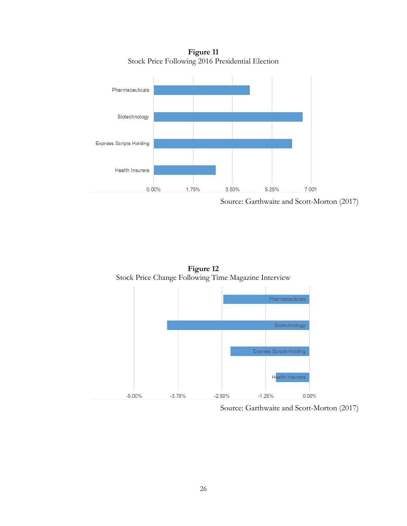**Figure 11** Stock Price Following 2016 Presidential Election



Source: Garthwaite and Scott-Morton (2017)



Source: Garthwaite and Scott-Morton (2017)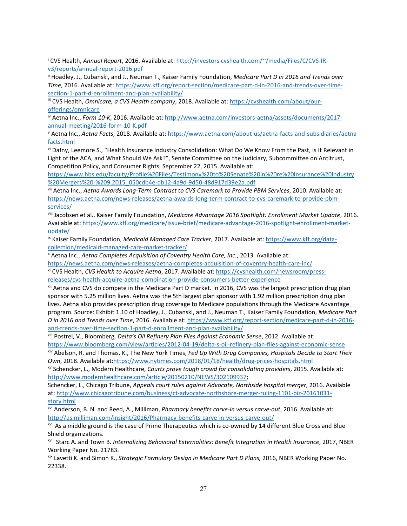l

<span id="page-26-4"></span><sup>v</sup> Aetna Inc., *Aetna Facts*, 2018. Available at[: https://www.aetna.com/about-us/aetna-facts-and-subsidiaries/aetna](https://www.aetna.com/about-us/aetna-facts-and-subsidiaries/aetna-facts.html)[facts.html](https://www.aetna.com/about-us/aetna-facts-and-subsidiaries/aetna-facts.html)

<span id="page-26-5"></span>vi Dafny, Leemore S., "Health Insurance Industry Consolidation: What Do We Know From the Past, Is It Relevant in Light of the ACA, and What Should We Ask?", Senate Committee on the Judiciary, Subcommittee on Antitrust, Competition Policy, and Consumer Rights, September 22, 2015. Available at:

[https://www.hbs.edu/faculty/Profile%20Files/Testimony%20to%20Senate%20in%20re%20Insurance%20Industry](https://www.hbs.edu/faculty/Profile%20Files/Testimony%20to%20Senate%20in%20re%20Insurance%20Industry%20Mergers%20-%209.2015_050cdb4e-db12-4a9d-9d50-48d917d39e2a.pdf) [%20Mergers%20-%209.2015\\_050cdb4e-db12-4a9d-9d50-48d917d39e2a.pdf](https://www.hbs.edu/faculty/Profile%20Files/Testimony%20to%20Senate%20in%20re%20Insurance%20Industry%20Mergers%20-%209.2015_050cdb4e-db12-4a9d-9d50-48d917d39e2a.pdf)

<span id="page-26-6"></span>vii Aetna Inc., *Aetna Awards Long-Term Contract to CVS Caremark to Provide PBM Services*, 2010. Available at: [https://news.aetna.com/news-releases/aetna-awards-long-term-contract-to-cvs-caremark-to-provide-pbm](https://news.aetna.com/news-releases/aetna-awards-long-term-contract-to-cvs-caremark-to-provide-pbm-services/)[services/](https://news.aetna.com/news-releases/aetna-awards-long-term-contract-to-cvs-caremark-to-provide-pbm-services/)

<span id="page-26-7"></span>viii Jacobsen et al., Kaiser Family Foundation, *Medicare Advantage 2016 Spotlight: Enrollment Market Update*, 2016. Available at: [https://www.kff.org/medicare/issue-brief/medicare-advantage-2016-spotlight-enrollment-market](https://www.kff.org/medicare/issue-brief/medicare-advantage-2016-spotlight-enrollment-market-update/)[update/](https://www.kff.org/medicare/issue-brief/medicare-advantage-2016-spotlight-enrollment-market-update/)

<span id="page-26-8"></span>ix Kaiser Family Foundation, *Medicaid Managed Care Tracker*, 2017. Available at: [https://www.kff.org/data](https://www.kff.org/data-collection/medicaid-managed-care-market-tracker/)[collection/medicaid-managed-care-market-tracker/](https://www.kff.org/data-collection/medicaid-managed-care-market-tracker/)

<span id="page-26-9"></span><sup>x</sup> Aetna Inc., *Aetna Completes Acquisition of Coventry Health Care, Inc.*, 2013. Available at:

<https://news.aetna.com/news-releases/aetna-completes-acquisition-of-coventry-health-care-inc/>

<span id="page-26-10"></span>xi CVS Health, *CVS Health to Acquire Aetna*, 2017. Available at: [https://cvshealth.com/newsroom/press](https://cvshealth.com/newsroom/press-releases/cvs-health-acquire-aetna-combination-provide-consumers-better-experience)[releases/cvs-health-acquire-aetna-combination-provide-consumers-better-experience](https://cvshealth.com/newsroom/press-releases/cvs-health-acquire-aetna-combination-provide-consumers-better-experience)

<span id="page-26-11"></span>xii Aetna and CVS do compete in the Medicare Part D market. In 2016, CVS was the largest prescription drug plan sponsor with 5.25 million lives. Aetna was the 5th largest plan sponsor with 1.92 million prescription drug plan lives. Aetna also provides prescription drug coverage to Medicare populations through the Medicare Advantage program. Source: Exhibit 1.10 of Hoadley, J., Cubanski, and J., Neuman T., Kaiser Family Foundation, *Medicare Part D in 2016 and Trends over Time*, 2016. Available at: [https://www.kff.org/report-section/medicare-part-d-in-2016](https://www.kff.org/report-section/medicare-part-d-in-2016-and-trends-over-time-section-1-part-d-enrollment-and-plan-availability/) [and-trends-over-time-section-1-part-d-enrollment-and-plan-availability/](https://www.kff.org/report-section/medicare-part-d-in-2016-and-trends-over-time-section-1-part-d-enrollment-and-plan-availability/)

<span id="page-26-12"></span>xiii Postrel, V., Bloomberg, *Delta's Oil Refinery Plan Flies Against Economic Sense*, 2012. Available at: <https://www.bloomberg.com/view/articles/2012-04-19/delta-s-oil-refinery-plan-flies-against-economic-sense>

<span id="page-26-13"></span>xiv Abelson, R. and Thomas, K., The New York Times, *Fed Up With Drug Companies, Hospitals Decide to Start Their Own*, 2018. Available at[:https://www.nytimes.com/2018/01/18/health/drug-prices-hospitals.html](https://www.nytimes.com/2018/01/18/health/drug-prices-hospitals.html)

<span id="page-26-14"></span>xv Schencker, L., Modern Healthcare, *Courts prove tough crowd for consolidating providers*, 2015. Available at: [http://www.modernhealthcare.com/article/20150210/NEWS/302109937;](http://www.modernhealthcare.com/article/20150210/NEWS/302109937)

Schencker, L., Chicago Tribune, *Appeals court rules against Advocate, Northside hospital merger*, 2016. Available at: [http://www.chicagotribune.com/business/ct-advocate-northshore-merger-ruling-1101-biz-20161031](http://www.chicagotribune.com/business/ct-advocate-northshore-merger-ruling-1101-biz-20161031-story.html) [story.html](http://www.chicagotribune.com/business/ct-advocate-northshore-merger-ruling-1101-biz-20161031-story.html)

<span id="page-26-15"></span>xvi Anderson, B. N. and Reed, A., Milliman, *Pharmacy benefits carve-in versus carve-out*, 2016. Available at: <http://us.milliman.com/insight/2016/Pharmacy-benefits-carve-in-versus-carve-out/>

<span id="page-26-16"></span>xvii As a middle ground is the case of Prime Therapeutics which is co-owned by 14 different Blue Cross and Blue Shield organizations.

xviii Starc A. and Town B. *Internalizing Behavioral Externalities: Benefit Integration in Health Insurance*, 2017, NBER Working Paper No. 21783.

<span id="page-26-17"></span>xix Lavetti K. and Simon K., *Strategic Formulary Design in Medicare Part D Plans,* 2016, NBER Working Paper No. 22338.

<span id="page-26-0"></span><sup>i</sup> CVS Health, *Annual Report*, 2016. Available at[: http://investors.cvshealth.com/~/media/Files/C/CVS-IR](http://investors.cvshealth.com/%7E/media/Files/C/CVS-IR-v3/reports/annual-report-2016.pdf)[v3/reports/annual-report-2016.pdf](http://investors.cvshealth.com/%7E/media/Files/C/CVS-IR-v3/reports/annual-report-2016.pdf)

<span id="page-26-1"></span>ii Hoadley, J., Cubanski, and J., Neuman T., Kaiser Family Foundation, *Medicare Part D in 2016 and Trends over Time*, 2016. Available at: [https://www.kff.org/report-section/medicare-part-d-in-2016-and-trends-over-time](https://www.kff.org/report-section/medicare-part-d-in-2016-and-trends-over-time-section-1-part-d-enrollment-and-plan-availability/)[section-1-part-d-enrollment-and-plan-availability/](https://www.kff.org/report-section/medicare-part-d-in-2016-and-trends-over-time-section-1-part-d-enrollment-and-plan-availability/)

<span id="page-26-2"></span>iii CVS Health, *Omnicare, a CVS Health company*, 2018. Available at: [https://cvshealth.com/about/our](https://cvshealth.com/about/our-offerings/omnicare)[offerings/omnicare](https://cvshealth.com/about/our-offerings/omnicare)

<span id="page-26-3"></span>iv Aetna Inc., *Form 10-K*, 2016. Available at: [http://www.aetna.com/investors-aetna/assets/documents/2017](http://www.aetna.com/investors-aetna/assets/documents/2017-annual-meeting/2016-form-10-K.pdf) [annual-meeting/2016-form-10-K.pdf](http://www.aetna.com/investors-aetna/assets/documents/2017-annual-meeting/2016-form-10-K.pdf)